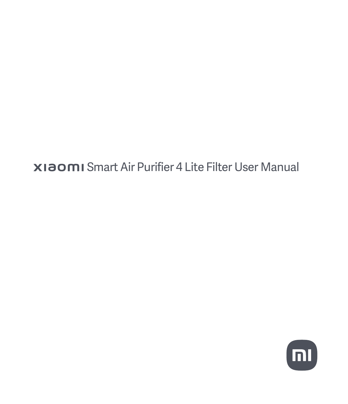**XIAOMI** Smart Air Purifier 4 Lite Filter User Manual

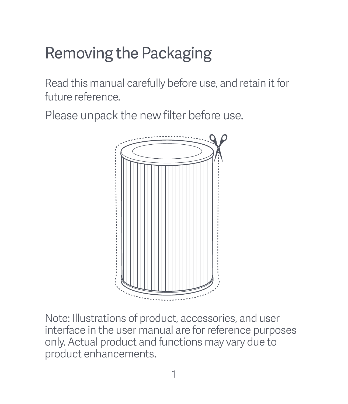# Removing the Packaging

Read this manual carefully before use, and retain it for future reference.

Please unpack the new filter before use.



Note: Illustrations of product, accessories, and user interface in the user manual are for reference purposes only. Actual product and functions may vary due to product enhancements.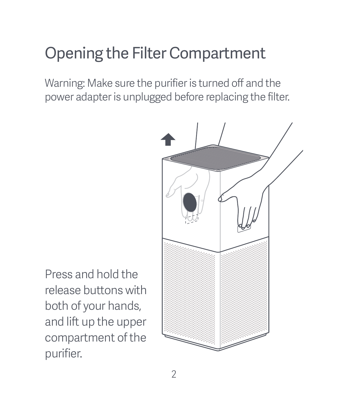## Opening the Filter Compartment

Warning: Make sure the purifier is turned off and the power adapter is unplugged before replacing the filter.



Press and hold the release buttons with both of your hands, and lift up the upper compartment of the purifier.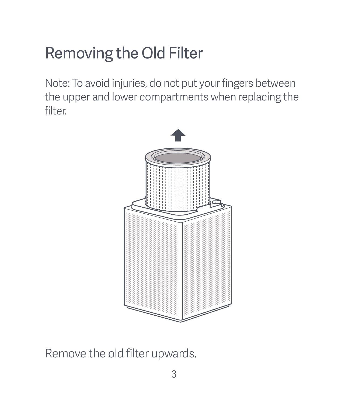# Removing the Old Filter

Note: To avoid injuries, do not put your fingers between the upper and lower compartments when replacing the filter.



Remove the old filter upwards.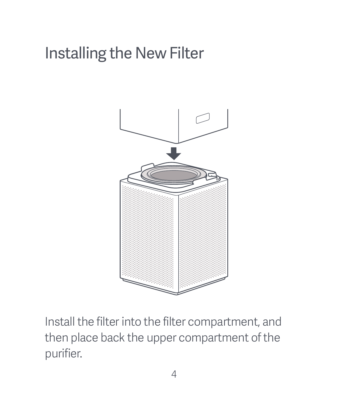## Installing the New Filter



Install the filter into the filter compartment, and then place back the upper compartment of the purifier.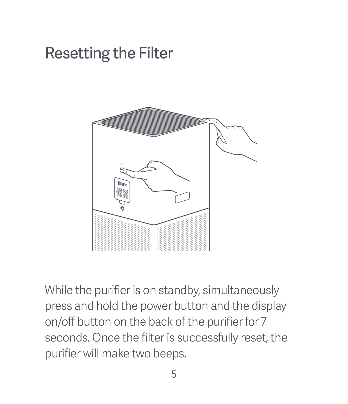### Resetting the Filter



While the purifier is on standby, simultaneously press and hold the power button and the display on/off button on the back of the purifier for 7 seconds. Once the filter is successfully reset, the purifier will make two beeps.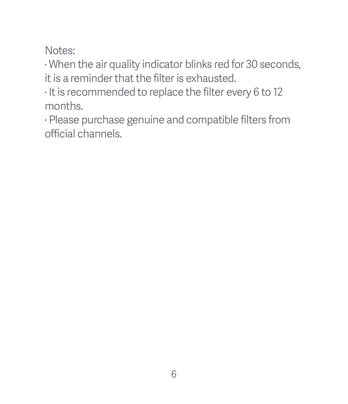Notes:

· When the air quality indicator blinks red for 30 seconds, it is a reminder that the filter is exhausted.

· It is recommended to replace the filter every 6 to 12 months.

· Please purchase genuine and compatible filters from official channels.